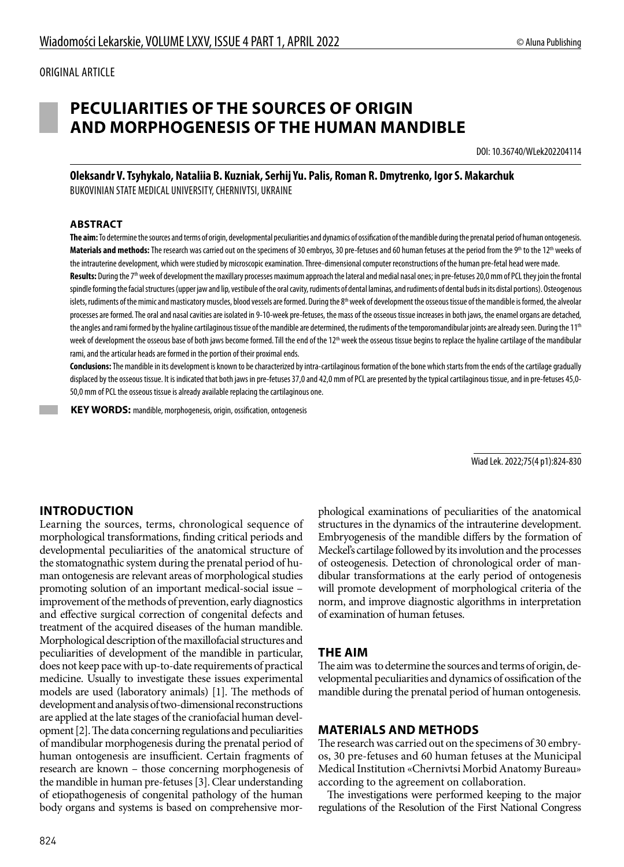# **PECULIARITIES OF THE SOURCES OF ORIGIN AND MORPHOGENESIS OF THE HUMAN MANDIBLE**

DOI: 10.36740/WLek202204114

**Oleksandr V. Tsyhykalo, Nataliia B. Kuzniak, Serhij Yu. Palis, Roman R. Dmytrenko, Іgor S. Makarchuk** BUKOVINIAN STATE MEDICAL UNIVERSITY, CHERNIVTSI, UKRAINE

#### **ABSTRACT**

**The aim:** To determine the sources and terms of origin, developmental peculiarities and dynamics of ossification of the mandible during the prenatal period of human ontogenesis. Materials and methods: The research was carried out on the specimens of 30 embryos, 30 pre-fetuses and 60 human fetuses at the period from the 9<sup>th</sup> to the 12<sup>th</sup> weeks of the intrauterine development, which were studied by microscopic examination. Three-dimensional computer reconstructions of the human pre-fetal head were made.

Results: During the 7<sup>th</sup> week of development the maxillary processes maximum approach the lateral and medial nasal ones; in pre-fetuses 20,0 mm of PCL they join the frontal spindle forming the facial structures (upper jaw and lip, vestibule of the oral cavity, rudiments of dental laminas, and rudiments of dental buds in its distal portions). Osteogenous islets, rudiments of the mimic and masticatory muscles, blood vessels are formed. During the 8<sup>th</sup> week of development the osseous tissue of the mandible is formed, the alveolar processes are formed. The oral and nasal cavities are isolated in 9-10-week pre-fetuses, the mass of the osseous tissue increases in both jaws, the enamel organs are detached, the angles and rami formed by the hyaline cartilaginous tissue of the mandible are determined, the rudiments of the temporomandibular joints are already seen. During the 11<sup>th</sup> week of development the osseous base of both jaws become formed. Till the end of the 12<sup>th</sup> week the osseous tissue begins to replace the hyaline cartilage of the mandibular rami, and the articular heads are formed in the portion of their proximal ends.

**Conclusions:** The mandible in its development is known to be characterized by intra-cartilaginous formation of the bone which starts from the ends of the cartilage gradually displaced by the osseous tissue. It is indicated that both jaws in pre-fetuses 37,0 and 42,0 mm of PCL are presented by the typical cartilaginous tissue, and in pre-fetuses 45,0- 50,0 mm of PCL the osseous tissue is already available replacing the cartilaginous one.

 **KEY WORDS:** mandible, morphogenesis, origin, ossification, ontogenesis

Wiad Lek. 2022;75(4 p1):824-830

### **INTRODUCTION**

Learning the sources, terms, chronological sequence of morphological transformations, finding critical periods and developmental peculiarities of the anatomical structure of the stomatognathic system during the prenatal period of human ontogenesis are relevant areas of morphological studies promoting solution of an important medical-social issue – improvement of the methods of prevention, early diagnostics and effective surgical correction of congenital defects and treatment of the acquired diseases of the human mandible. Morphological description of the maxillofacial structures and peculiarities of development of the mandible in particular, does not keep pace with up-to-date requirements of practical medicine. Usually to investigate these issues experimental models are used (laboratory animals) [1]. The methods of development and analysis of two-dimensional reconstructions are applied at the late stages of the craniofacial human development [2]. The data concerning regulations and peculiarities of mandibular morphogenesis during the prenatal period of human ontogenesis are insufficient. Certain fragments of research are known – those concerning morphogenesis of the mandible in human pre-fetuses [3]. Clear understanding of etiopathogenesis of congenital pathology of the human body organs and systems is based on comprehensive morphological examinations of peculiarities of the anatomical structures in the dynamics of the intrauterine development. Embryogenesis of the mandible differs by the formation of Meckel's cartilage followed by its involution and the processes of osteogenesis. Detection of chronological order of mandibular transformations at the early period of ontogenesis will promote development of morphological criteria of the norm, and improve diagnostic algorithms in interpretation of examination of human fetuses.

### **THE AIM**

The aim was to determine the sources and terms of origin, developmental peculiarities and dynamics of ossification of the mandible during the prenatal period of human ontogenesis.

#### **MATERIALS AND METHODS**

The research was carried out on the specimens of 30 embryos, 30 pre-fetuses and 60 human fetuses at the Municipal Medical Institution «Chernivtsi Morbid Anatomy Bureau» according to the agreement on collaboration.

The investigations were performed keeping to the major regulations of the Resolution of the First National Congress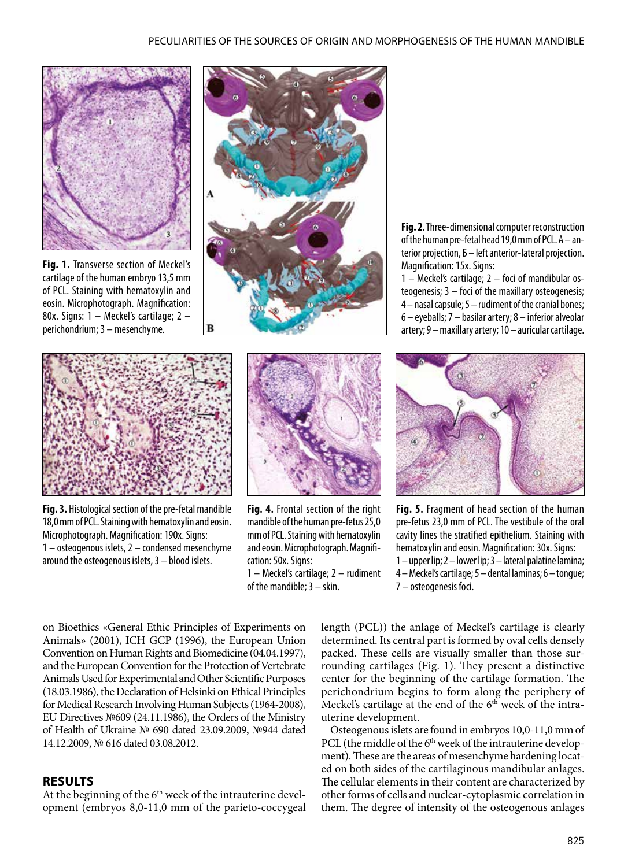

**Fig. 1.** Transverse section of Meckel's cartilage of the human embryo 13,5 mm of PCL. Staining with hematoxylin and eosin. Microphotograph. Magnification: 80х. Signs: 1 – Meckel's cartilage; 2 – perichondrium; 3 – mesenchyme.



**Fig. 2**. Three-dimensional computer reconstruction of the human pre-fetal head 19,0 mm of PCL. А – anterior projection, Б – left anterior-lateral projection. Magnification: 15х. Signs:

1 – Meckel's cartilage; 2 – foci of mandibular osteogenesis; 3 – foci of the maxillary osteogenesis; 4 – nasal capsule; 5 – rudiment of the cranial bones; 6 – eyeballs; 7 – basilar artery; 8 – inferior alveolar artery; 9 – maxillary artery; 10 – auricular cartilage.



**Fig. 3.** Histological section of the pre-fetal mandible 18,0 mm of PCL. Staining with hematoxylin and eosin. Microphotograph. Magnification: 190х. Signs: 1 – osteogenous islets, 2 – condensed mesenchyme around the osteogenous islets, 3 – blood islets.



**Fig. 4.** Frontal section of the right mandible of the human pre-fetus 25,0 mm of PCL. Staining with hematoxylin and eosin. Microphotograph. Magnification: 50х. Signs:

1 – Meckel's cartilage; 2 – rudiment of the mandible; 3 – skin.



**Fig. 5.** Fragment of head section of the human pre-fetus 23,0 mm of PCL. The vestibule of the oral cavity lines the stratified epithelium. Staining with hematoxylin and eosin. Magnification: 30х. Signs: 1 – upper lip; 2 – lower lip; 3 – lateral palatine lamina; 4 – Meckel's cartilage; 5 – dental laminas; 6 – tongue; 7 – osteogenesis foci.

on Bioethics «General Ethic Principles of Experiments on Animals» (2001), ICH GCP (1996), the European Union Convention on Human Rights and Biomedicine (04.04.1997), and the European Convention for the Protection of Vertebrate Animals Used for Experimental and Other Scientific Purposes (18.03.1986), the Declaration of Helsinki on Ethical Principles for Medical Research Involving Human Subjects (1964-2008), EU Directives №609 (24.11.1986), the Orders of the Ministry of Health of Ukraine № 690 dated 23.09.2009, №944 dated 14.12.2009, № 616 dated 03.08.2012.

### **RESULTS**

At the beginning of the  $6<sup>th</sup>$  week of the intrauterine development (embryos 8,0-11,0 mm of the parieto-coccygeal length (PCL)) the anlage of Meckel's cartilage is clearly determined. Its central part is formed by oval cells densely packed. These cells are visually smaller than those surrounding cartilages (Fig. 1). They present a distinctive center for the beginning of the cartilage formation. The perichondrium begins to form along the periphery of Meckel's cartilage at the end of the  $6<sup>th</sup>$  week of the intrauterine development.

Osteogenous islets are found in embryos 10,0-11,0 mm of PCL (the middle of the 6<sup>th</sup> week of the intrauterine development). These are the areas of mesenchyme hardening located on both sides of the cartilaginous mandibular anlages. The cellular elements in their content are characterized by other forms of cells and nuclear-cytoplasmic correlation in them. The degree of intensity of the osteogenous anlages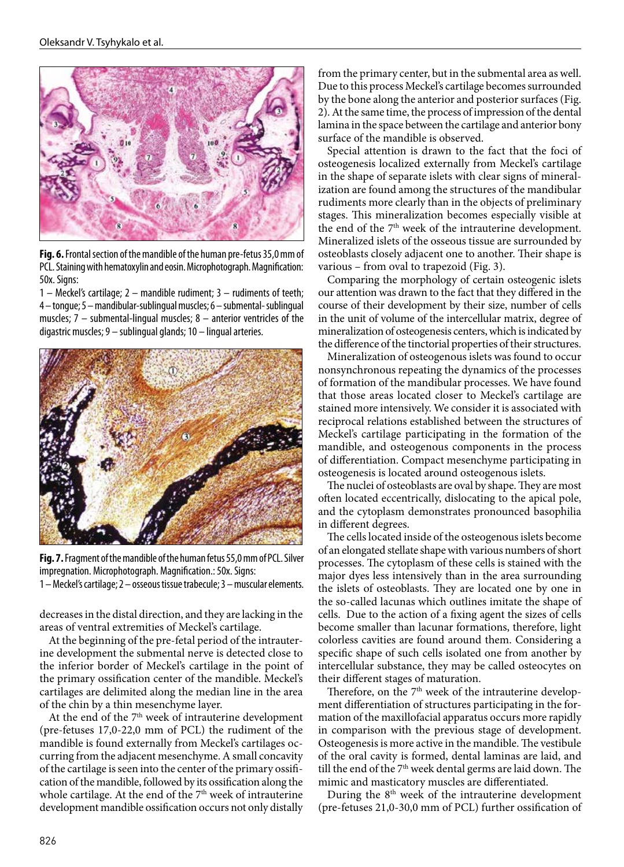

**Fig. 6.** Frontal section of the mandible of the human pre-fetus 35,0 mm of PCL. Staining with hematoxylin and eosin. Microphotograph. Magnification: 50х. Signs:

1 – Meckel's cartilage; 2 – mandible rudiment; 3 – rudiments of teeth; 4 – tongue; 5 – mandibular-sublingual muscles; 6 – submental- sublingual muscles; 7 – submental-lingual muscles; 8 – anterior ventricles of the digastric muscles; 9 – sublingual glands; 10 – lingual arteries.



**Fig. 7.** Fragment of the mandible of the human fetus 55,0 mm of PCL. Silver impregnation. Microphotograph. Magnification.: 50х. Signs: 1 – Meckel's cartilage; 2 – osseous tissue trabecule; 3 – muscular elements.

decreases in the distal direction, and they are lacking in the areas of ventral extremities of Meckel's cartilage.

At the beginning of the pre-fetal period of the intrauterine development the submental nerve is detected close to the inferior border of Meckel's cartilage in the point of the primary ossification center of the mandible. Meckel's cartilages are delimited along the median line in the area of the chin by a thin mesenchyme layer.

At the end of the 7<sup>th</sup> week of intrauterine development (pre-fetuses 17,0-22,0 mm of PCL) the rudiment of the mandible is found externally from Meckel's cartilages occurring from the adjacent mesenchyme. A small concavity of the cartilage is seen into the center of the primary ossification of the mandible, followed by its ossification along the whole cartilage. At the end of the  $7<sup>th</sup>$  week of intrauterine development mandible ossification occurs not only distally

from the primary center, but in the submental area as well. Due to this process Meckel's cartilage becomes surrounded by the bone along the anterior and posterior surfaces (Fig. 2). At the same time, the process of impression of the dental lamina in the space between the cartilage and anterior bony surface of the mandible is observed.

Special attention is drawn to the fact that the foci of osteogenesis localized externally from Meckel's cartilage in the shape of separate islets with clear signs of mineralization are found among the structures of the mandibular rudiments more clearly than in the objects of preliminary stages. This mineralization becomes especially visible at the end of the 7<sup>th</sup> week of the intrauterine development. Mineralized islets of the osseous tissue are surrounded by osteoblasts closely adjacent one to another. Their shape is various – from oval to trapezoid (Fig. 3).

Comparing the morphology of certain osteogenic islets our attention was drawn to the fact that they differed in the course of their development by their size, number of cells in the unit of volume of the intercellular matrix, degree of mineralization of osteogenesis centers, which is indicated by the difference of the tinctorial properties of their structures.

Mineralization of osteogenous islets was found to occur nonsynchronous repeating the dynamics of the processes of formation of the mandibular processes. We have found that those areas located closer to Meckel's cartilage are stained more intensively. We consider it is associated with reciprocal relations established between the structures of Meckel's cartilage participating in the formation of the mandible, and osteogenous components in the process of differentiation. Compact mesenchyme participating in osteogenesis is located around osteogenous islets.

The nuclei of osteoblasts are oval by shape. They are most often located eccentrically, dislocating to the apical pole, and the cytoplasm demonstrates pronounced basophilia in different degrees.

The cells located inside of the osteogenous islets become of an elongated stellate shape with various numbers of short processes. The cytoplasm of these cells is stained with the major dyes less intensively than in the area surrounding the islets of osteoblasts. They are located one by one in the so-called lacunas which outlines imitate the shape of cells. Due to the action of a fixing agent the sizes of cells become smaller than lacunar formations, therefore, light colorless cavities are found around them. Considering a specific shape of such cells isolated one from another by intercellular substance, they may be called osteocytes on their different stages of maturation.

Therefore, on the 7<sup>th</sup> week of the intrauterine development differentiation of structures participating in the formation of the maxillofacial apparatus occurs more rapidly in comparison with the previous stage of development. Osteogenesis is more active in the mandible. The vestibule of the oral cavity is formed, dental laminas are laid, and till the end of the  $7<sup>th</sup>$  week dental germs are laid down. The mimic and masticatory muscles are differentiated.

During the  $8<sup>th</sup>$  week of the intrauterine development (pre-fetuses 21,0-30,0 mm of PCL) further ossification of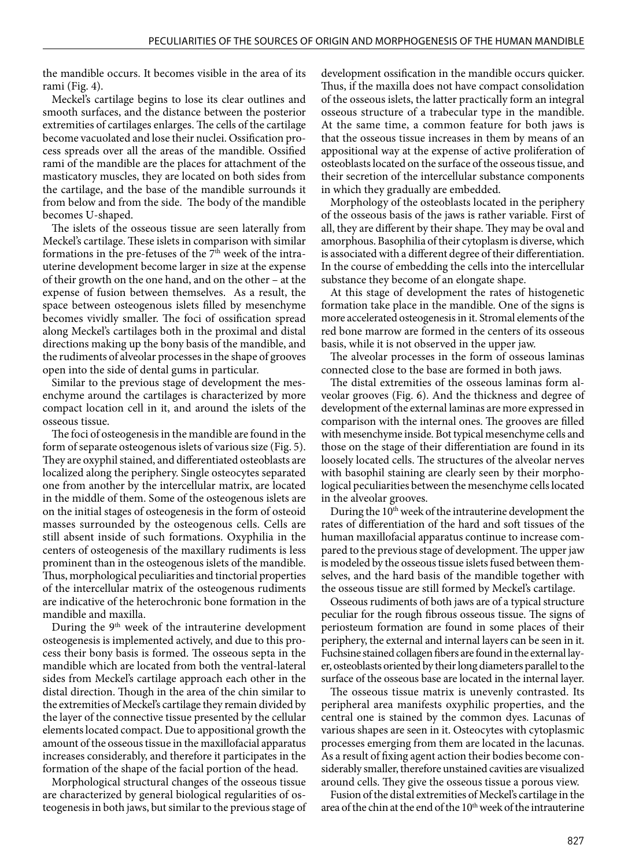the mandible occurs. It becomes visible in the area of its rami (Fig. 4).

Meckel's cartilage begins to lose its clear outlines and smooth surfaces, and the distance between the posterior extremities of cartilages enlarges. The cells of the cartilage become vacuolated and lose their nuclei. Ossification process spreads over all the areas of the mandible. Ossified rami of the mandible are the places for attachment of the masticatory muscles, they are located on both sides from the cartilage, and the base of the mandible surrounds it from below and from the side. The body of the mandible becomes U-shaped.

The islets of the osseous tissue are seen laterally from Meckel's cartilage. These islets in comparison with similar formations in the pre-fetuses of the  $7<sup>th</sup>$  week of the intrauterine development become larger in size at the expense of their growth on the one hand, and on the other – at the expense of fusion between themselves. As a result, the space between osteogenous islets filled by mesenchyme becomes vividly smaller. The foci of ossification spread along Meckel's cartilages both in the proximal and distal directions making up the bony basis of the mandible, and the rudiments of alveolar processes in the shape of grooves open into the side of dental gums in particular.

Similar to the previous stage of development the mesenchyme around the cartilages is characterized by more compact location cell in it, and around the islets of the osseous tissue.

The foci of osteogenesis in the mandible are found in the form of separate osteogenous islets of various size (Fig. 5). They are oxyphil stained, and differentiated osteoblasts are localized along the periphery. Single osteocytes separated one from another by the intercellular matrix, are located in the middle of them. Some of the osteogenous islets are on the initial stages of osteogenesis in the form of osteoid masses surrounded by the osteogenous cells. Cells are still absent inside of such formations. Oxyphilia in the centers of osteogenesis of the maxillary rudiments is less prominent than in the osteogenous islets of the mandible. Thus, morphological peculiarities and tinctorial properties of the intercellular matrix of the osteogenous rudiments are indicative of the heterochronic bone formation in the mandible and maxilla.

During the  $9<sup>th</sup>$  week of the intrauterine development osteogenesis is implemented actively, and due to this process their bony basis is formed. The osseous septa in the mandible which are located from both the ventral-lateral sides from Meckel's cartilage approach each other in the distal direction. Though in the area of the chin similar to the extremities of Meckel's cartilage they remain divided by the layer of the connective tissue presented by the cellular elements located compact. Due to appositional growth the amount of the osseous tissue in the maxillofacial apparatus increases considerably, and therefore it participates in the formation of the shape of the facial portion of the head.

Morphological structural changes of the osseous tissue are characterized by general biological regularities of osteogenesis in both jaws, but similar to the previous stage of development ossification in the mandible occurs quicker. Thus, if the maxilla does not have compact consolidation of the osseous islets, the latter practically form an integral osseous structure of a trabecular type in the mandible. At the same time, a common feature for both jaws is that the osseous tissue increases in them by means of an appositional way at the expense of active proliferation of osteoblasts located on the surface of the osseous tissue, and their secretion of the intercellular substance components in which they gradually are embedded.

Morphology of the osteoblasts located in the periphery of the osseous basis of the jaws is rather variable. First of all, they are different by their shape. They may be oval and amorphous. Basophilia of their cytoplasm is diverse, which is associated with a different degree of their differentiation. In the course of embedding the cells into the intercellular substance they become of an elongate shape.

At this stage of development the rates of histogenetic formation take place in the mandible. One of the signs is more accelerated osteogenesis in it. Stromal elements of the red bone marrow are formed in the centers of its osseous basis, while it is not observed in the upper jaw.

The alveolar processes in the form of osseous laminas connected close to the base are formed in both jaws.

The distal extremities of the osseous laminas form alveolar grooves (Fig. 6). And the thickness and degree of development of the external laminas are more expressed in comparison with the internal ones. The grooves are filled with mesenchyme inside. Bot typical mesenchyme cells and those on the stage of their differentiation are found in its loosely located cells. The structures of the alveolar nerves with basophil staining are clearly seen by their morphological peculiarities between the mesenchyme cells located in the alveolar grooves.

During the 10<sup>th</sup> week of the intrauterine development the rates of differentiation of the hard and soft tissues of the human maxillofacial apparatus continue to increase compared to the previous stage of development. The upper jaw is modeled by the osseous tissue islets fused between themselves, and the hard basis of the mandible together with the osseous tissue are still formed by Meckel's cartilage.

Osseous rudiments of both jaws are of a typical structure peculiar for the rough fibrous osseous tissue. The signs of periosteum formation are found in some places of their periphery, the external and internal layers can be seen in it. Fuchsine stained collagen fibers are found in the external layer, osteoblasts oriented by their long diameters parallel to the surface of the osseous base are located in the internal layer.

The osseous tissue matrix is unevenly contrasted. Its peripheral area manifests oxyphilic properties, and the central one is stained by the common dyes. Lacunas of various shapes are seen in it. Osteocytes with cytoplasmic processes emerging from them are located in the lacunas. As a result of fixing agent action their bodies become considerably smaller, therefore unstained cavities are visualized around cells. They give the osseous tissue a porous view.

Fusion of the distal extremities of Meckel's cartilage in the area of the chin at the end of the 10<sup>th</sup> week of the intrauterine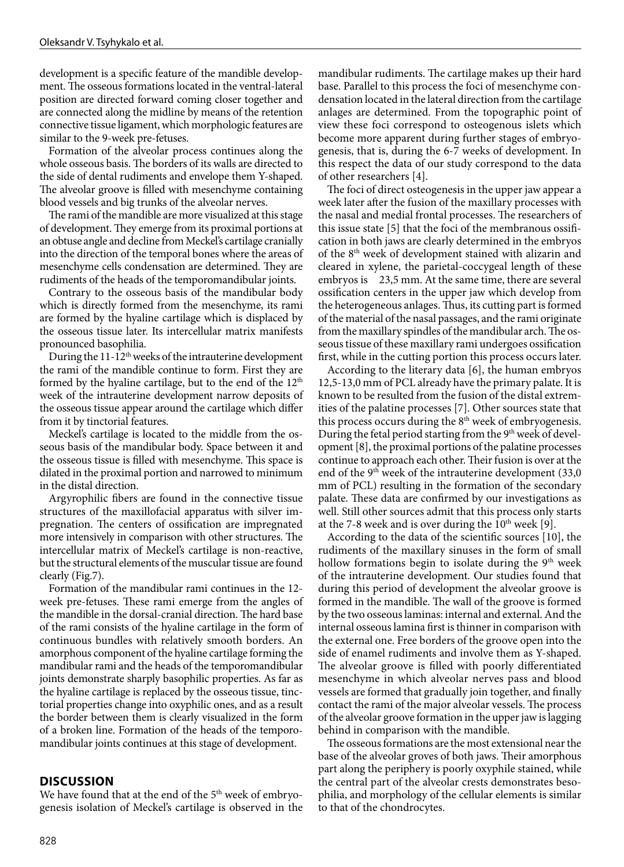development is a specific feature of the mandible development. The osseous formations located in the ventral-lateral position are directed forward coming closer together and are connected along the midline by means of the retention connective tissue ligament, which morphologic features are similar to the 9-week pre-fetuses.

Formation of the alveolar process continues along the whole osseous basis. The borders of its walls are directed to the side of dental rudiments and envelope them Y-shaped. The alveolar groove is filled with mesenchyme containing blood vessels and big trunks of the alveolar nerves.

The rami of the mandible are more visualized at this stage of development. They emerge from its proximal portions at an obtuse angle and decline from Meckel's cartilage cranially into the direction of the temporal bones where the areas of mesenchyme cells condensation are determined. They are rudiments of the heads of the temporomandibular joints.

Contrary to the osseous basis of the mandibular body which is directly formed from the mesenchyme, its rami are formed by the hyaline cartilage which is displaced by the osseous tissue later. Its intercellular matrix manifests pronounced basophilia.

During the  $11-12<sup>th</sup>$  weeks of the intrauterine development the rami of the mandible continue to form. First they are formed by the hyaline cartilage, but to the end of the 12<sup>th</sup> week of the intrauterine development narrow deposits of the osseous tissue appear around the cartilage which differ from it by tinctorial features.

Meckel's cartilage is located to the middle from the osseous basis of the mandibular body. Space between it and the osseous tissue is filled with mesenchyme. This space is dilated in the proximal portion and narrowed to minimum in the distal direction.

Argyrophilic fibers are found in the connective tissue structures of the maxillofacial apparatus with silver impregnation. The centers of ossification are impregnated more intensively in comparison with other structures. The intercellular matrix of Meckel's cartilage is non-reactive, but the structural elements of the muscular tissue are found clearly (Fig.7).

Formation of the mandibular rami continues in the 12 week pre-fetuses. These rami emerge from the angles of the mandible in the dorsal-cranial direction. The hard base of the rami consists of the hyaline cartilage in the form of continuous bundles with relatively smooth borders. An amorphous component of the hyaline cartilage forming the mandibular rami and the heads of the temporomandibular joints demonstrate sharply basophilic properties. As far as the hyaline cartilage is replaced by the osseous tissue, tinctorial properties change into oxyphilic ones, and as a result the border between them is clearly visualized in the form of a broken line. Formation of the heads of the temporomandibular joints continues at this stage of development.

### **DISCUSSION**

We have found that at the end of the  $5<sup>th</sup>$  week of embryogenesis isolation of Meckel's cartilage is observed in the mandibular rudiments. The cartilage makes up their hard base. Parallel to this process the foci of mesenchyme condensation located in the lateral direction from the cartilage anlages are determined. From the topographic point of view these foci correspond to osteogenous islets which become more apparent during further stages of embryogenesis, that is, during the 6-7 weeks of development. In this respect the data of our study correspond to the data of other researchers [4].

The foci of direct osteogenesis in the upper jaw appear a week later after the fusion of the maxillary processes with the nasal and medial frontal processes. The researchers of this issue state [5] that the foci of the membranous ossification in both jaws are clearly determined in the embryos of the 8<sup>th</sup> week of development stained with alizarin and cleared in xylene, the parietal-coccygeal length of these embryos is 23,5 mm. At the same time, there are several ossification centers in the upper jaw which develop from the heterogeneous anlages. Thus, its cutting part is formed of the material of the nasal passages, and the rami originate from the maxillary spindles of the mandibular arch. The osseous tissue of these maxillary rami undergoes ossification first, while in the cutting portion this process occurs later.

According to the literary data [6], the human embryos 12,5-13,0 mm of PCL already have the primary palate. It is known to be resulted from the fusion of the distal extremities of the palatine processes [7]. Other sources state that this process occurs during the  $8<sup>th</sup>$  week of embryogenesis. During the fetal period starting from the 9<sup>th</sup> week of development [8], the proximal portions of the palatine processes continue to approach each other. Their fusion is over at the end of the 9<sup>th</sup> week of the intrauterine development (33,0) mm of PCL) resulting in the formation of the secondary palate. These data are confirmed by our investigations as well. Still other sources admit that this process only starts at the 7-8 week and is over during the  $10^{th}$  week [9].

According to the data of the scientific sources [10], the rudiments of the maxillary sinuses in the form of small hollow formations begin to isolate during the  $9<sup>th</sup>$  week of the intrauterine development. Our studies found that during this period of development the alveolar groove is formed in the mandible. The wall of the groove is formed by the two osseous laminas: internal and external. And the internal osseous lamina first is thinner in comparison with the external one. Free borders of the groove open into the side of enamel rudiments and involve them as Y-shaped. The alveolar groove is filled with poorly differentiated mesenchyme in which alveolar nerves pass and blood vessels are formed that gradually join together, and finally contact the rami of the major alveolar vessels. The process of the alveolar groove formation in the upper jaw is lagging behind in comparison with the mandible.

The osseous formations are the most extensional near the base of the alveolar groves of both jaws. Their amorphous part along the periphery is poorly oxyphile stained, while the central part of the alveolar crests demonstrates besophilia, and morphology of the cellular elements is similar to that of the chondrocytes.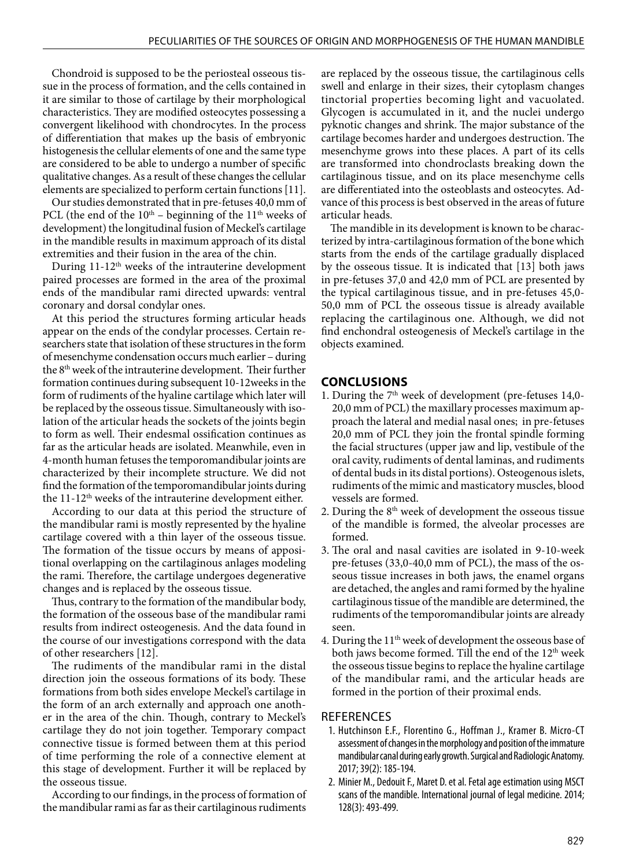Chondroid is supposed to be the periosteal osseous tissue in the process of formation, and the cells contained in it are similar to those of cartilage by their morphological characteristics. They are modified osteocytes possessing a convergent likelihood with chondrocytes. In the process of differentiation that makes up the basis of embryonic histogenesis the cellular elements of one and the same type are considered to be able to undergo a number of specific qualitative changes. As a result of these changes the cellular elements are specialized to perform certain functions [11].

Our studies demonstrated that in pre-fetuses 40,0 mm of PCL (the end of the  $10^{th}$  – beginning of the  $11^{th}$  weeks of development) the longitudinal fusion of Meckel's cartilage in the mandible results in maximum approach of its distal extremities and their fusion in the area of the chin.

During 11-12<sup>th</sup> weeks of the intrauterine development paired processes are formed in the area of the proximal ends of the mandibular rami directed upwards: ventral coronary and dorsal condylar ones.

At this period the structures forming articular heads appear on the ends of the condylar processes. Certain researchers state that isolation of these structures in the form of mesenchyme condensation occurs much earlier – during the 8th week of the intrauterine development. Their further formation continues during subsequent 10-12weeks in the form of rudiments of the hyaline cartilage which later will be replaced by the osseous tissue. Simultaneously with isolation of the articular heads the sockets of the joints begin to form as well. Their endesmal ossification continues as far as the articular heads are isolated. Meanwhile, even in 4-month human fetuses the temporomandibular joints are characterized by their incomplete structure. We did not find the formation of the temporomandibular joints during the 11-12<sup>th</sup> weeks of the intrauterine development either.

According to our data at this period the structure of the mandibular rami is mostly represented by the hyaline cartilage covered with a thin layer of the osseous tissue. The formation of the tissue occurs by means of appositional overlapping on the cartilaginous anlages modeling the rami. Therefore, the cartilage undergoes degenerative changes and is replaced by the osseous tissue.

Thus, contrary to the formation of the mandibular body, the formation of the osseous base of the mandibular rami results from indirect osteogenesis. And the data found in the course of our investigations correspond with the data of other researchers [12].

The rudiments of the mandibular rami in the distal direction join the osseous formations of its body. These formations from both sides envelope Meckel's cartilage in the form of an arch externally and approach one another in the area of the chin. Though, contrary to Meckel's cartilage they do not join together. Temporary compact connective tissue is formed between them at this period of time performing the role of a connective element at this stage of development. Further it will be replaced by the osseous tissue.

According to our findings, in the process of formation of the mandibular rami as far as their cartilaginous rudiments are replaced by the osseous tissue, the cartilaginous cells swell and enlarge in their sizes, their cytoplasm changes tinctorial properties becoming light and vacuolated. Glycogen is accumulated in it, and the nuclei undergo pyknotic changes and shrink. The major substance of the cartilage becomes harder and undergoes destruction. The mesenchyme grows into these places. A part of its cells are transformed into chondroclasts breaking down the cartilaginous tissue, and on its place mesenchyme cells are differentiated into the osteoblasts and osteocytes. Advance of this process is best observed in the areas of future articular heads.

The mandible in its development is known to be characterized by intra-cartilaginous formation of the bone which starts from the ends of the cartilage gradually displaced by the osseous tissue. It is indicated that [13] both jaws in pre-fetuses 37,0 and 42,0 mm of PCL are presented by the typical cartilaginous tissue, and in pre-fetuses 45,0- 50,0 mm of PCL the osseous tissue is already available replacing the cartilaginous one. Although, we did not find enchondral osteogenesis of Meckel's cartilage in the objects examined.

# **CONCLUSIONS**

- 1. During the  $7<sup>th</sup>$  week of development (pre-fetuses 14,0-20,0 mm of PCL) the maxillary processes maximum approach the lateral and medial nasal ones; in pre-fetuses 20,0 mm of PCL they join the frontal spindle forming the facial structures (upper jaw and lip, vestibule of the oral cavity, rudiments of dental laminas, and rudiments of dental buds in its distal portions). Osteogenous islets, rudiments of the mimic and masticatory muscles, blood vessels are formed.
- 2. During the  $8<sup>th</sup>$  week of development the osseous tissue of the mandible is formed, the alveolar processes are formed.
- 3. The oral and nasal cavities are isolated in 9-10-week pre-fetuses (33,0-40,0 mm of PCL), the mass of the osseous tissue increases in both jaws, the enamel organs are detached, the angles and rami formed by the hyaline cartilaginous tissue of the mandible are determined, the rudiments of the temporomandibular joints are already seen.
- 4. During the  $11<sup>th</sup>$  week of development the osseous base of both jaws become formed. Till the end of the 12<sup>th</sup> week the osseous tissue begins to replace the hyaline cartilage of the mandibular rami, and the articular heads are formed in the portion of their proximal ends.

# REFERENCES

- 1. Hutchinson E.F., Florentino G., Hoffman J., Kramer B. Micro-CT assessment of changes in the morphology and position of the immature mandibular canal during early growth. Surgical and Radiologic Anatomy. 2017; 39(2): 185-194.
- 2. Minier M., Dedouit F., Maret D. et al. Fetal age estimation using MSCT scans of the mandible. International journal of legal medicine. 2014; 128(3): 493-499.